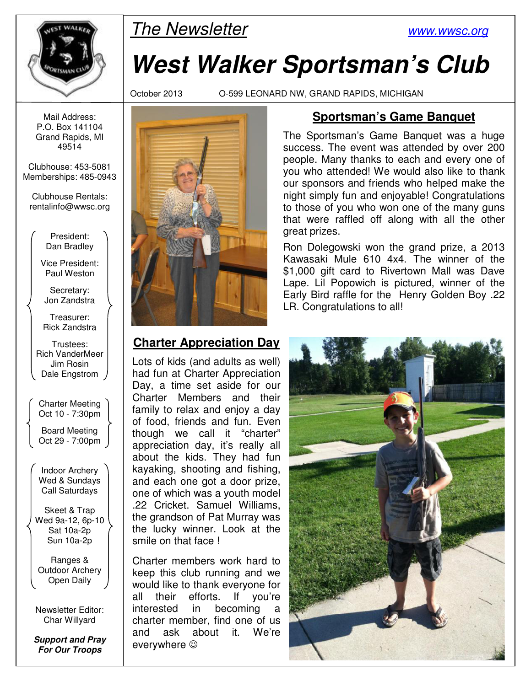

# $\mathbb{R}$  The Newsletter www.wwsc.org

# **West Walker Sportsman's Club**

October 2013 O-599 LEONARD NW, GRAND RAPIDS, MICHIGAN

Mail Address: P.O. Box 141104 Grand Rapids, MI 49514

Clubhouse: 453-5081 Memberships: 485-0943

Clubhouse Rentals: rentalinfo@wwsc.org

> President: Dan Bradley

Vice President: Paul Weston

Secretary: Jon Zandstra

Treasurer: Rick Zandstra

Trustees: Rich VanderMeer Jim Rosin Dale Engstrom

Charter Meeting Oct 10 - 7:30pm

Board Meeting Oct 29 - 7:00pm

Indoor Archery Wed & Sundays Call Saturdays

Skeet & Trap Wed 9a-12, 6p-10 Sat 10a-2p Sun 10a-2p

Ranges & Outdoor Archery Open Daily

Newsletter Editor: Char Willyard

**Support and Pray For Our Troops** 



#### **Charter Appreciation Day**

Lots of kids (and adults as well) had fun at Charter Appreciation Day, a time set aside for our Charter Members and their family to relax and enjoy a day of food, friends and fun. Even though we call it "charter" appreciation day, it's really all about the kids. They had fun kayaking, shooting and fishing, and each one got a door prize, one of which was a youth model .22 Cricket. Samuel Williams, the grandson of Pat Murray was the lucky winner. Look at the smile on that face !

Charter members work hard to keep this club running and we would like to thank everyone for all their efforts. If you're interested in becoming a charter member, find one of us and ask about it. We're everywhere  $\odot$ 

#### **Sportsman's Game Banquet**

The Sportsman's Game Banquet was a huge success. The event was attended by over 200 people. Many thanks to each and every one of you who attended! We would also like to thank our sponsors and friends who helped make the night simply fun and enjoyable! Congratulations to those of you who won one of the many guns that were raffled off along with all the other great prizes.

Ron Dolegowski won the grand prize, a 2013 Kawasaki Mule 610 4x4. The winner of the \$1,000 gift card to Rivertown Mall was Dave Lape. Lil Popowich is pictured, winner of the Early Bird raffle for the Henry Golden Boy .22 LR. Congratulations to all!

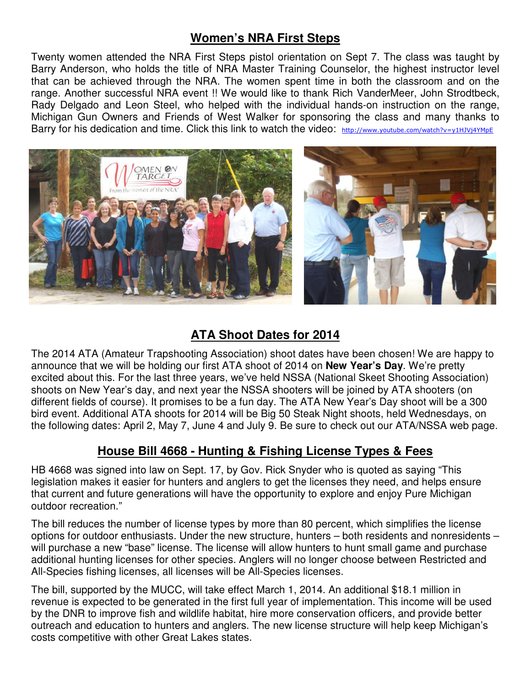#### **Women's NRA First Steps**

Twenty women attended the NRA First Steps pistol orientation on Sept 7. The class was taught by Barry Anderson, who holds the title of NRA Master Training Counselor, the highest instructor level that can be achieved through the NRA. The women spent time in both the classroom and on the range. Another successful NRA event !! We would like to thank Rich VanderMeer, John Strodtbeck, Rady Delgado and Leon Steel, who helped with the individual hands-on instruction on the range, Michigan Gun Owners and Friends of West Walker for sponsoring the class and many thanks to Barry for his dedication and time. Click this link to watch the video: http://www.youtube.com/watch?v=y1HJVj4YMpE



#### **ATA Shoot Dates for 2014**

The 2014 ATA (Amateur Trapshooting Association) shoot dates have been chosen! We are happy to announce that we will be holding our first ATA shoot of 2014 on **New Year's Day**. We're pretty excited about this. For the last three years, we've held NSSA (National Skeet Shooting Association) shoots on New Year's day, and next year the NSSA shooters will be joined by ATA shooters (on different fields of course). It promises to be a fun day. The ATA New Year's Day shoot will be a 300 bird event. Additional ATA shoots for 2014 will be Big 50 Steak Night shoots, held Wednesdays, on the following dates: April 2, May 7, June 4 and July 9. Be sure to check out our ATA/NSSA web page.

#### **House Bill 4668 - Hunting & Fishing License Types & Fees**

HB 4668 was signed into law on Sept. 17, by Gov. Rick Snyder who is quoted as saying "This legislation makes it easier for hunters and anglers to get the licenses they need, and helps ensure that current and future generations will have the opportunity to explore and enjoy Pure Michigan outdoor recreation."

The bill reduces the number of license types by more than 80 percent, which simplifies the license options for outdoor enthusiasts. Under the new structure, hunters – both residents and nonresidents – will purchase a new "base" license. The license will allow hunters to hunt small game and purchase additional hunting licenses for other species. Anglers will no longer choose between Restricted and All-Species fishing licenses, all licenses will be All-Species licenses.

The bill, supported by the MUCC, will take effect March 1, 2014. An additional \$18.1 million in revenue is expected to be generated in the first full year of implementation. This income will be used by the DNR to improve fish and wildlife habitat, hire more conservation officers, and provide better outreach and education to hunters and anglers. The new license structure will help keep Michigan's costs competitive with other Great Lakes states.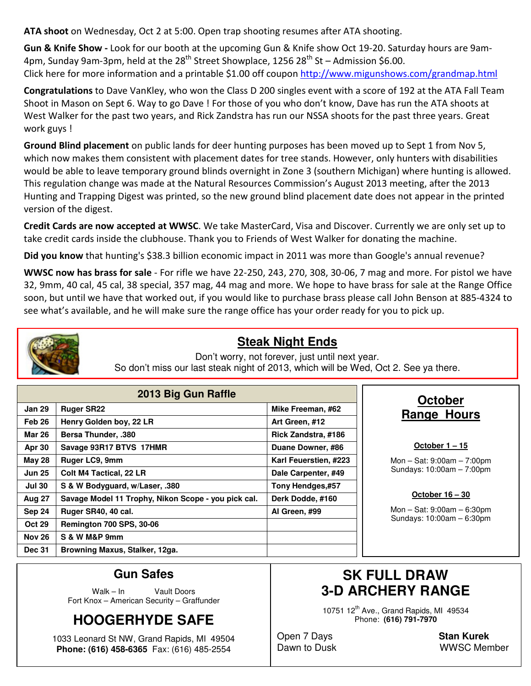**ATA shoot** on Wednesday, Oct 2 at 5:00. Open trap shooting resumes after ATA shooting.

**Gun & Knife Show -** Look for our booth at the upcoming Gun & Knife show Oct 19-20. Saturday hours are 9am-4pm, Sunday 9am-3pm, held at the  $28^{th}$  Street Showplace, 1256  $28^{th}$  St – Admission \$6.00. Click here for more information and a printable \$1.00 off coupon http://www.migunshows.com/grandmap.html

**Congratulations** to Dave VanKley, who won the Class D 200 singles event with a score of 192 at the ATA Fall Team Shoot in Mason on Sept 6. Way to go Dave ! For those of you who don't know, Dave has run the ATA shoots at West Walker for the past two years, and Rick Zandstra has run our NSSA shoots for the past three years. Great work guys !

**Ground Blind placement** on public lands for deer hunting purposes has been moved up to Sept 1 from Nov 5, which now makes them consistent with placement dates for tree stands. However, only hunters with disabilities would be able to leave temporary ground blinds overnight in Zone 3 (southern Michigan) where hunting is allowed. This regulation change was made at the Natural Resources Commission's August 2013 meeting, after the 2013 Hunting and Trapping Digest was printed, so the new ground blind placement date does not appear in the printed version of the digest.

**Credit Cards are now accepted at WWSC**. We take MasterCard, Visa and Discover. Currently we are only set up to take credit cards inside the clubhouse. Thank you to Friends of West Walker for donating the machine.

**Did you know** that hunting's \$38.3 billion economic impact in 2011 was more than Google's annual revenue?

**WWSC now has brass for sale** - For rifle we have 22-250, 243, 270, 308, 30-06, 7 mag and more. For pistol we have 32, 9mm, 40 cal, 45 cal, 38 special, 357 mag, 44 mag and more. We hope to have brass for sale at the Range Office soon, but until we have that worked out, if you would like to purchase brass please call John Benson at 885-4324 to see what's available, and he will make sure the range office has your order ready for you to pick up.



#### **Steak Night Ends**

Don't worry, not forever, just until next year. So don't miss our last steak night of 2013, which will be Wed, Oct 2. See ya there.

| 2013 Big Gun Raffle |                                                     |                       |  |  |  |  |
|---------------------|-----------------------------------------------------|-----------------------|--|--|--|--|
| <b>Jan 29</b>       | <b>Ruger SR22</b>                                   | Mike Freeman, #62     |  |  |  |  |
| Feb 26              | Henry Golden boy, 22 LR                             | Art Green, #12        |  |  |  |  |
| <b>Mar 26</b>       | <b>Bersa Thunder, .380</b>                          | Rick Zandstra, #186   |  |  |  |  |
| Apr 30              | Savage 93R17 BTVS 17HMR                             | Duane Downer, #86     |  |  |  |  |
| <b>May 28</b>       | Ruger LC9, 9mm                                      | Karl Feuerstien, #223 |  |  |  |  |
| <b>Jun 25</b>       | <b>Colt M4 Tactical, 22 LR</b>                      | Dale Carpenter, #49   |  |  |  |  |
| <b>Jul 30</b>       | S & W Bodyguard, w/Laser, .380                      | Tony Hendges,#57      |  |  |  |  |
| Aug 27              | Savage Model 11 Trophy, Nikon Scope - you pick cal. | Derk Dodde, #160      |  |  |  |  |
| Sep 24              | Ruger SR40, 40 cal.                                 | Al Green, #99         |  |  |  |  |
| <b>Oct 29</b>       | <b>Remington 700 SPS, 30-06</b>                     |                       |  |  |  |  |
| <b>Nov 26</b>       | S & W M&P 9mm                                       |                       |  |  |  |  |
| <b>Dec 31</b>       | Browning Maxus, Stalker, 12ga.                      |                       |  |  |  |  |

#### **October Range Hours**

#### **October 1 – 15**

Mon – Sat: 9:00am – 7:00pm Sundays: 10:00am – 7:00pm

#### **October 16 – 30**

Mon – Sat: 9:00am – 6:30pm Sundays: 10:00am – 6:30pm

#### **Gun Safes**

Walk – In Vault Doors Fort Knox – American Security – Graffunder

## **HOOGERHYDE SAFE**

1033 Leonard St NW, Grand Rapids, MI 49504 **Phone: (616) 458-6365** Fax: (616) 485-2554

### **SK FULL DRAW 3-D ARCHERY RANGE**

10751 12<sup>th</sup> Ave., Grand Rapids, MI 49534 Phone: **(616) 791-7970** 

Open 7 Days **Stan Kurek**

Dawn to Dusk WWSC Member